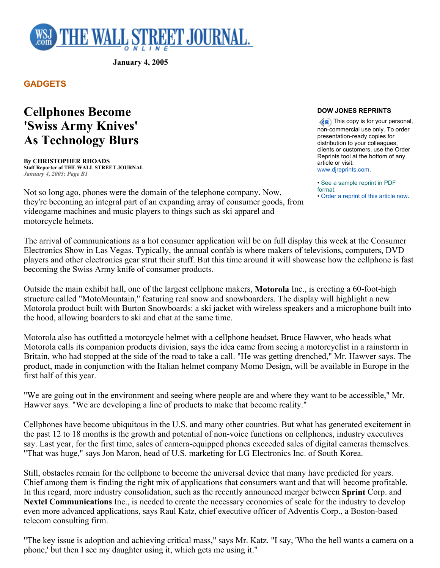

**January 4, 2005** 

**GADGETS** 

## **Cellphones Become 'Swiss Army Knives' As Technology Blurs**

**By CHRISTOPHER RHOADS Staff Reporter of THE WALL STREET JOURNAL** *January 4, 2005; Page B1*

Not so long ago, phones were the domain of the telephone company. Now, they're becoming an integral part of an expanding array of consumer goods, from videogame machines and music players to things such as ski apparel and motorcycle helmets.

## **DOW JONES REPRINTS**

**KR** This copy is for your personal, non-commercial use only. To order presentation-ready copies for distribution to your colleagues, clients or customers, use the Order Reprints tool at the bottom of any article or visit: www.djreprints.com.

• See a sample reprint in PDF format.

• Order a reprint of this article now.

The arrival of communications as a hot consumer application will be on full display this week at the Consumer Electronics Show in Las Vegas. Typically, the annual confab is where makers of televisions, computers, DVD players and other electronics gear strut their stuff. But this time around it will showcase how the cellphone is fast becoming the Swiss Army knife of consumer products.

Outside the main exhibit hall, one of the largest cellphone makers, **Motorola** Inc., is erecting a 60-foot-high structure called "MotoMountain," featuring real snow and snowboarders. The display will highlight a new Motorola product built with Burton Snowboards: a ski jacket with wireless speakers and a microphone built into the hood, allowing boarders to ski and chat at the same time.

Motorola also has outfitted a motorcycle helmet with a cellphone headset. Bruce Hawver, who heads what Motorola calls its companion products division, says the idea came from seeing a motorcyclist in a rainstorm in Britain, who had stopped at the side of the road to take a call. "He was getting drenched," Mr. Hawver says. The product, made in conjunction with the Italian helmet company Momo Design, will be available in Europe in the first half of this year.

"We are going out in the environment and seeing where people are and where they want to be accessible," Mr. Hawver says. "We are developing a line of products to make that become reality."

Cellphones have become ubiquitous in the U.S. and many other countries. But what has generated excitement in the past 12 to 18 months is the growth and potential of non-voice functions on cellphones, industry executives say. Last year, for the first time, sales of camera-equipped phones exceeded sales of digital cameras themselves. "That was huge," says Jon Maron, head of U.S. marketing for LG Electronics Inc. of South Korea.

Still, obstacles remain for the cellphone to become the universal device that many have predicted for years. Chief among them is finding the right mix of applications that consumers want and that will become profitable. In this regard, more industry consolidation, such as the recently announced merger between **Sprint** Corp. and **Nextel Communications** Inc., is needed to create the necessary economies of scale for the industry to develop even more advanced applications, says Raul Katz, chief executive officer of Adventis Corp., a Boston-based telecom consulting firm.

"The key issue is adoption and achieving critical mass," says Mr. Katz. "I say, 'Who the hell wants a camera on a phone,' but then I see my daughter using it, which gets me using it."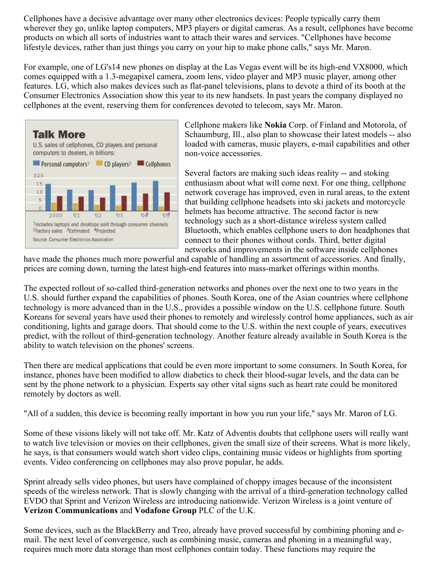Cellphones have a decisive advantage over many other electronics devices: People typically carry them wherever they go, unlike laptop computers, MP3 players or digital cameras. As a result, cellphones have become products on which all sorts of industries want to attach their wares and services. "Cellphones have become lifestyle devices, rather than just things you carry on your hip to make phone calls," says Mr. Maron.

For example, one of LG's14 new phones on display at the Las Vegas event will be its high-end VX8000, which comes equipped with a 1.3-megapixel camera, zoom lens, video player and MP3 music player, among other features. LG, which also makes devices such as flat-panel televisions, plans to devote a third of its booth at the Consumer Electronics Association show this year to its new handsets. In past years the company displayed no cellphones at the event, reserving them for conferences devoted to telecom, says Mr. Maron.



Cellphone makers like **Nokia** Corp. of Finland and Motorola, of Schaumburg, Ill., also plan to showcase their latest models -- also loaded with cameras, music players, e-mail capabilities and other non-voice accessories.

Several factors are making such ideas reality -- and stoking enthusiasm about what will come next. For one thing, cellphone network coverage has improved, even in rural areas, to the extent that building cellphone headsets into ski jackets and motorcycle helmets has become attractive. The second factor is new technology such as a short-distance wireless system called Bluetooth, which enables cellphone users to don headphones that connect to their phones without cords. Third, better digital networks and improvements in the software inside cellphones

have made the phones much more powerful and capable of handling an assortment of accessories. And finally, prices are coming down, turning the latest high-end features into mass-market offerings within months.

The expected rollout of so-called third-generation networks and phones over the next one to two years in the U.S. should further expand the capabilities of phones. South Korea, one of the Asian countries where cellphone technology is more advanced than in the U.S., provides a possible window on the U.S. cellphone future. South Koreans for several years have used their phones to remotely and wirelessly control home appliances, such as air conditioning, lights and garage doors. That should come to the U.S. within the next couple of years, executives predict, with the rollout of third-generation technology. Another feature already available in South Korea is the ability to watch television on the phones' screens.

Then there are medical applications that could be even more important to some consumers. In South Korea, for instance, phones have been modified to allow diabetics to check their blood-sugar levels, and the data can be sent by the phone network to a physician. Experts say other vital signs such as heart rate could be monitored remotely by doctors as well.

"All of a sudden, this device is becoming really important in how you run your life," says Mr. Maron of LG.

Some of these visions likely will not take off. Mr. Katz of Adventis doubts that cellphone users will really want to watch live television or movies on their cellphones, given the small size of their screens. What is more likely, he says, is that consumers would watch short video clips, containing music videos or highlights from sporting events. Video conferencing on cellphones may also prove popular, he adds.

Sprint already sells video phones, but users have complained of choppy images because of the inconsistent speeds of the wireless network. That is slowly changing with the arrival of a third-generation technology called EVDO that Sprint and Verizon Wireless are introducing nationwide. Verizon Wireless is a joint venture of **Verizon Communications** and **Vodafone Group** PLC of the U.K.

Some devices, such as the BlackBerry and Treo, already have proved successful by combining phoning and email. The next level of convergence, such as combining music, cameras and phoning in a meaningful way, requires much more data storage than most cellphones contain today. These functions may require the